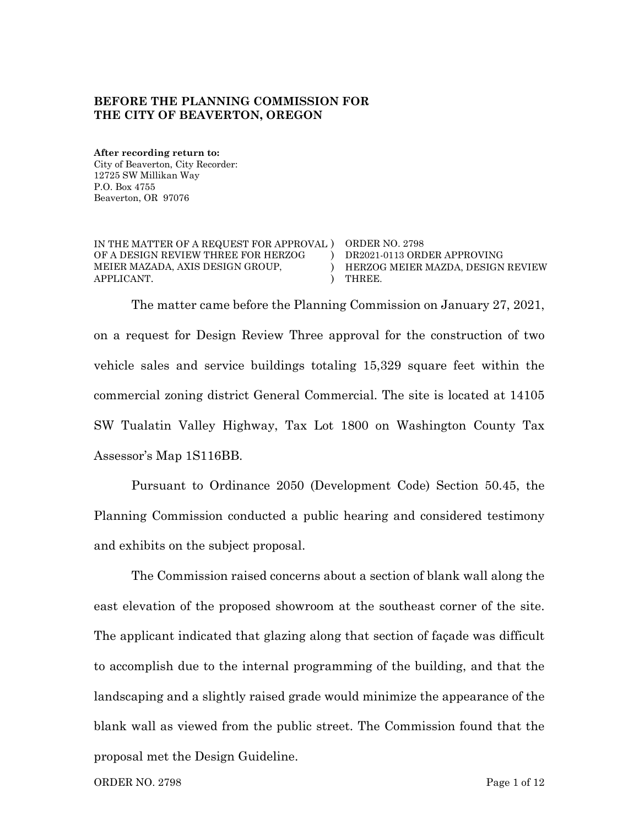#### **BEFORE THE PLANNING COMMISSION FOR THE CITY OF BEAVERTON, OREGON**

**After recording return to:** City of Beaverton, City Recorder: 12725 SW Millikan Way P.O. Box 4755 Beaverton, OR 97076

IN THE MATTER OF A REQUEST FOR APPROVAL ) ORDER NO. 2798 OF A DESIGN REVIEW THREE FOR HERZOG MEIER MAZADA, AXIS DESIGN GROUP, APPLICANT. ) DR2021-0113 ORDER APPROVING ) HERZOG MEIER MAZDA, DESIGN REVIEW ) THREE.

The matter came before the Planning Commission on January 27, 2021, on a request for Design Review Three approval for the construction of two vehicle sales and service buildings totaling 15,329 square feet within the commercial zoning district General Commercial. The site is located at 14105 SW Tualatin Valley Highway, Tax Lot 1800 on Washington County Tax Assessor's Map 1S116BB.

Pursuant to Ordinance 2050 (Development Code) Section 50.45, the Planning Commission conducted a public hearing and considered testimony and exhibits on the subject proposal.

The Commission raised concerns about a section of blank wall along the east elevation of the proposed showroom at the southeast corner of the site. The applicant indicated that glazing along that section of façade was difficult to accomplish due to the internal programming of the building, and that the landscaping and a slightly raised grade would minimize the appearance of the blank wall as viewed from the public street. The Commission found that the proposal met the Design Guideline.

ORDER NO. 2798 Page 1 of 12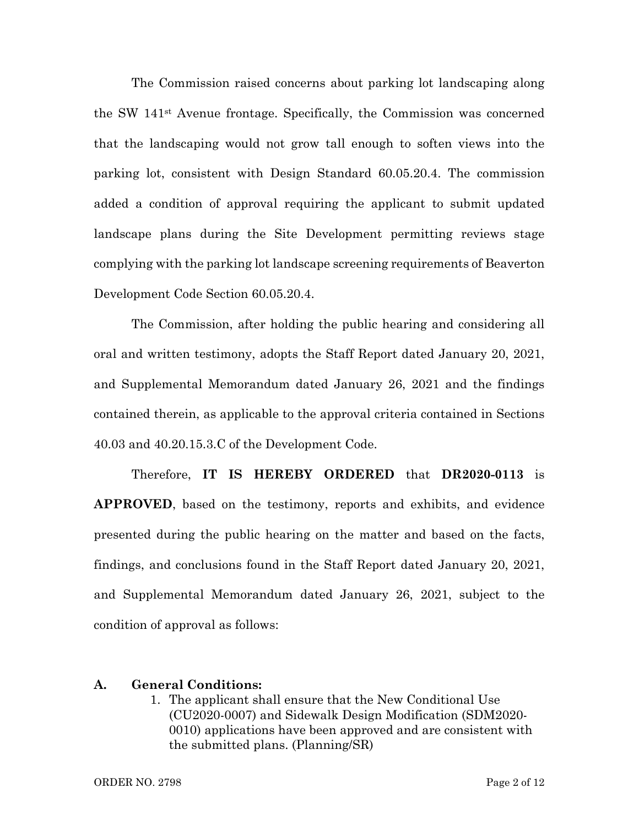The Commission raised concerns about parking lot landscaping along the SW 141st Avenue frontage. Specifically, the Commission was concerned that the landscaping would not grow tall enough to soften views into the parking lot, consistent with Design Standard 60.05.20.4. The commission added a condition of approval requiring the applicant to submit updated landscape plans during the Site Development permitting reviews stage complying with the parking lot landscape screening requirements of Beaverton Development Code Section 60.05.20.4.

The Commission, after holding the public hearing and considering all oral and written testimony, adopts the Staff Report dated January 20, 2021, and Supplemental Memorandum dated January 26, 2021 and the findings contained therein, as applicable to the approval criteria contained in Sections 40.03 and 40.20.15.3.C of the Development Code.

Therefore, **IT IS HEREBY ORDERED** that **DR2020-0113** is **APPROVED**, based on the testimony, reports and exhibits, and evidence presented during the public hearing on the matter and based on the facts, findings, and conclusions found in the Staff Report dated January 20, 2021, and Supplemental Memorandum dated January 26, 2021, subject to the condition of approval as follows:

#### **A. General Conditions:**

1. The applicant shall ensure that the New Conditional Use (CU2020-0007) and Sidewalk Design Modification (SDM2020- 0010) applications have been approved and are consistent with the submitted plans. (Planning/SR)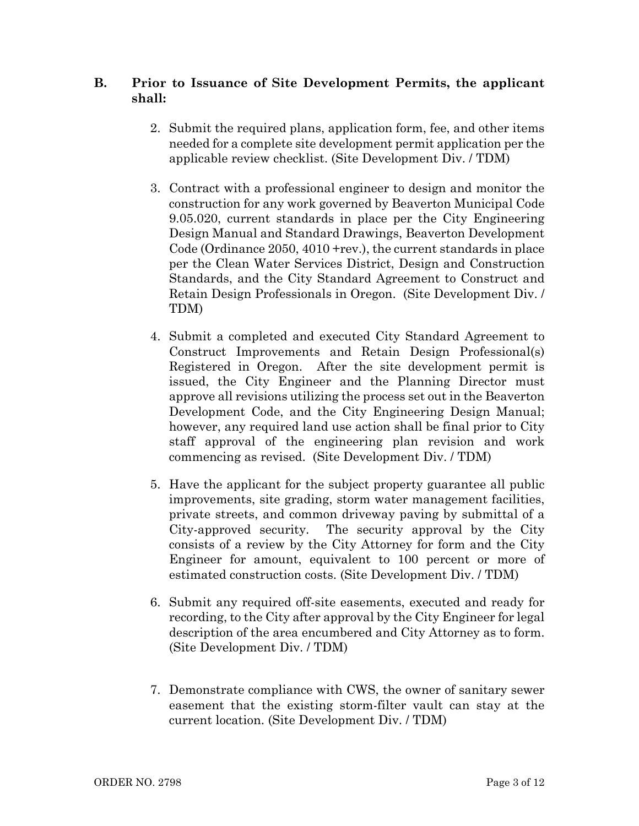#### **B. Prior to Issuance of Site Development Permits, the applicant shall:**

- 2. Submit the required plans, application form, fee, and other items needed for a complete site development permit application per the applicable review checklist. (Site Development Div. / TDM)
- 3. Contract with a professional engineer to design and monitor the construction for any work governed by Beaverton Municipal Code 9.05.020, current standards in place per the City Engineering Design Manual and Standard Drawings, Beaverton Development Code (Ordinance 2050, 4010 +rev.), the current standards in place per the Clean Water Services District, Design and Construction Standards, and the City Standard Agreement to Construct and Retain Design Professionals in Oregon. (Site Development Div. / TDM)
- 4. Submit a completed and executed City Standard Agreement to Construct Improvements and Retain Design Professional(s) Registered in Oregon. After the site development permit is issued, the City Engineer and the Planning Director must approve all revisions utilizing the process set out in the Beaverton Development Code, and the City Engineering Design Manual; however, any required land use action shall be final prior to City staff approval of the engineering plan revision and work commencing as revised. (Site Development Div. / TDM)
- 5. Have the applicant for the subject property guarantee all public improvements, site grading, storm water management facilities, private streets, and common driveway paving by submittal of a City-approved security. The security approval by the City consists of a review by the City Attorney for form and the City Engineer for amount, equivalent to 100 percent or more of estimated construction costs. (Site Development Div. / TDM)
- 6. Submit any required off-site easements, executed and ready for recording, to the City after approval by the City Engineer for legal description of the area encumbered and City Attorney as to form. (Site Development Div. / TDM)
- 7. Demonstrate compliance with CWS, the owner of sanitary sewer easement that the existing storm-filter vault can stay at the current location. (Site Development Div. / TDM)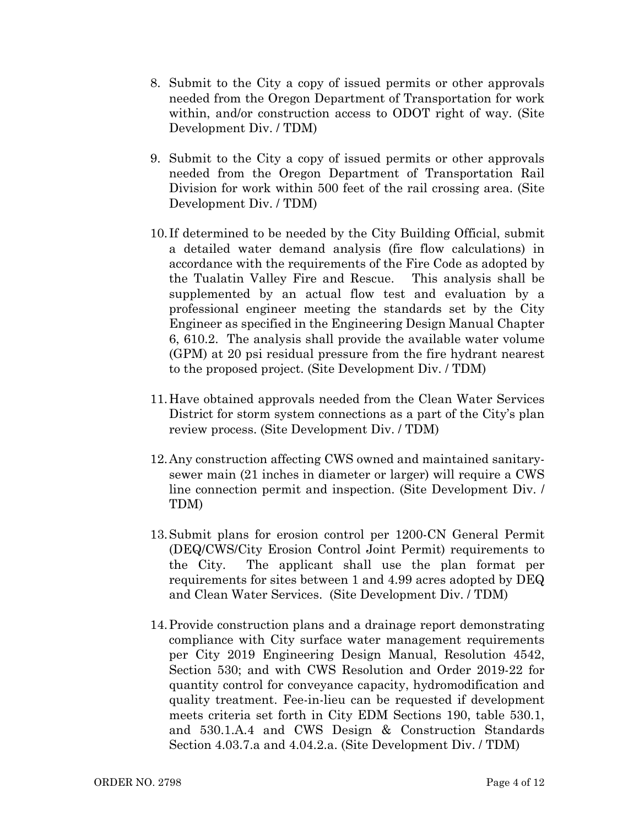- 8. Submit to the City a copy of issued permits or other approvals needed from the Oregon Department of Transportation for work within, and/or construction access to ODOT right of way. (Site Development Div. / TDM)
- 9. Submit to the City a copy of issued permits or other approvals needed from the Oregon Department of Transportation Rail Division for work within 500 feet of the rail crossing area. (Site Development Div. / TDM)
- 10. If determined to be needed by the City Building Official, submit a detailed water demand analysis (fire flow calculations) in accordance with the requirements of the Fire Code as adopted by the Tualatin Valley Fire and Rescue. This analysis shall be supplemented by an actual flow test and evaluation by a professional engineer meeting the standards set by the City Engineer as specified in the Engineering Design Manual Chapter 6, 610.2. The analysis shall provide the available water volume (GPM) at 20 psi residual pressure from the fire hydrant nearest to the proposed project. (Site Development Div. / TDM)
- 11.Have obtained approvals needed from the Clean Water Services District for storm system connections as a part of the City's plan review process. (Site Development Div. / TDM)
- 12.Any construction affecting CWS owned and maintained sanitarysewer main (21 inches in diameter or larger) will require a CWS line connection permit and inspection. (Site Development Div. / TDM)
- 13.Submit plans for erosion control per 1200-CN General Permit (DEQ/CWS/City Erosion Control Joint Permit) requirements to the City. The applicant shall use the plan format per requirements for sites between 1 and 4.99 acres adopted by DEQ and Clean Water Services. (Site Development Div. / TDM)
- 14.Provide construction plans and a drainage report demonstrating compliance with City surface water management requirements per City 2019 Engineering Design Manual, Resolution 4542, Section 530; and with CWS Resolution and Order 2019-22 for quantity control for conveyance capacity, hydromodification and quality treatment. Fee-in-lieu can be requested if development meets criteria set forth in City EDM Sections 190, table 530.1, and 530.1.A.4 and CWS Design & Construction Standards Section 4.03.7.a and 4.04.2.a. (Site Development Div. / TDM)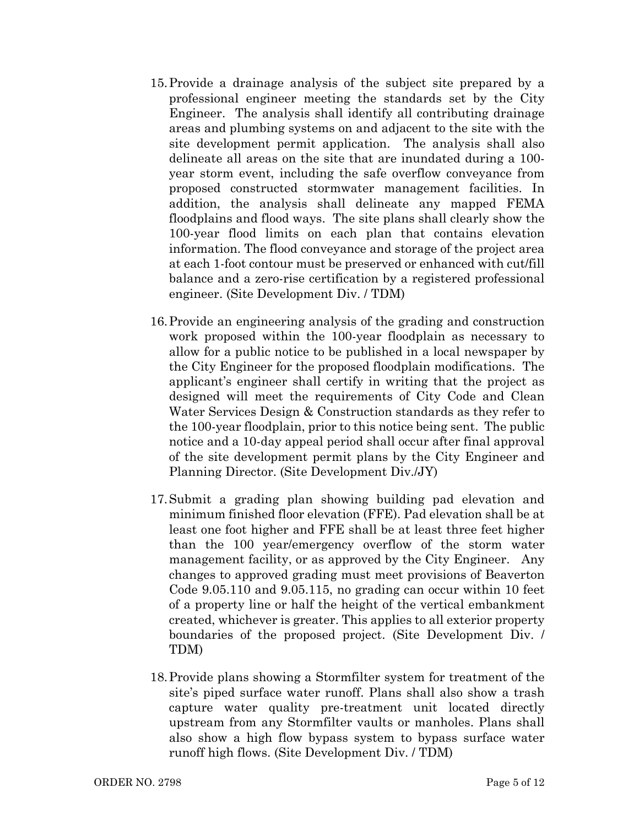- 15.Provide a drainage analysis of the subject site prepared by a professional engineer meeting the standards set by the City Engineer. The analysis shall identify all contributing drainage areas and plumbing systems on and adjacent to the site with the site development permit application. The analysis shall also delineate all areas on the site that are inundated during a 100 year storm event, including the safe overflow conveyance from proposed constructed stormwater management facilities. In addition, the analysis shall delineate any mapped FEMA floodplains and flood ways. The site plans shall clearly show the 100-year flood limits on each plan that contains elevation information. The flood conveyance and storage of the project area at each 1-foot contour must be preserved or enhanced with cut/fill balance and a zero-rise certification by a registered professional engineer. (Site Development Div. / TDM)
- 16.Provide an engineering analysis of the grading and construction work proposed within the 100-year floodplain as necessary to allow for a public notice to be published in a local newspaper by the City Engineer for the proposed floodplain modifications. The applicant's engineer shall certify in writing that the project as designed will meet the requirements of City Code and Clean Water Services Design & Construction standards as they refer to the 100-year floodplain, prior to this notice being sent. The public notice and a 10-day appeal period shall occur after final approval of the site development permit plans by the City Engineer and Planning Director. (Site Development Div./JY)
- 17.Submit a grading plan showing building pad elevation and minimum finished floor elevation (FFE). Pad elevation shall be at least one foot higher and FFE shall be at least three feet higher than the 100 year/emergency overflow of the storm water management facility, or as approved by the City Engineer. Any changes to approved grading must meet provisions of Beaverton Code 9.05.110 and 9.05.115, no grading can occur within 10 feet of a property line or half the height of the vertical embankment created, whichever is greater. This applies to all exterior property boundaries of the proposed project. (Site Development Div. / TDM)
- 18.Provide plans showing a Stormfilter system for treatment of the site's piped surface water runoff. Plans shall also show a trash capture water quality pre-treatment unit located directly upstream from any Stormfilter vaults or manholes. Plans shall also show a high flow bypass system to bypass surface water runoff high flows. (Site Development Div. / TDM)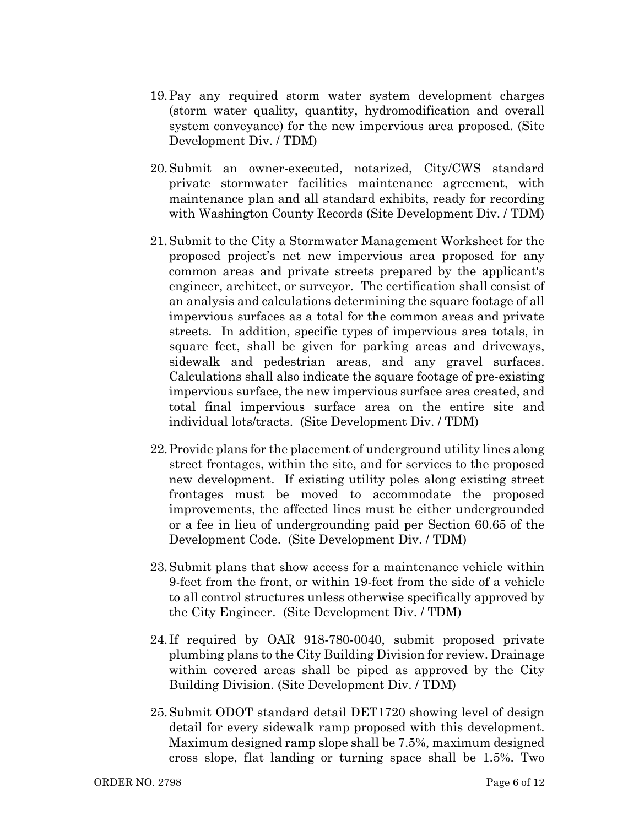- 19.Pay any required storm water system development charges (storm water quality, quantity, hydromodification and overall system conveyance) for the new impervious area proposed. (Site Development Div. / TDM)
- 20.Submit an owner-executed, notarized, City/CWS standard private stormwater facilities maintenance agreement, with maintenance plan and all standard exhibits, ready for recording with Washington County Records (Site Development Div. / TDM)
- 21.Submit to the City a Stormwater Management Worksheet for the proposed project's net new impervious area proposed for any common areas and private streets prepared by the applicant's engineer, architect, or surveyor. The certification shall consist of an analysis and calculations determining the square footage of all impervious surfaces as a total for the common areas and private streets. In addition, specific types of impervious area totals, in square feet, shall be given for parking areas and driveways, sidewalk and pedestrian areas, and any gravel surfaces. Calculations shall also indicate the square footage of pre-existing impervious surface, the new impervious surface area created, and total final impervious surface area on the entire site and individual lots/tracts. (Site Development Div. / TDM)
- 22.Provide plans for the placement of underground utility lines along street frontages, within the site, and for services to the proposed new development. If existing utility poles along existing street frontages must be moved to accommodate the proposed improvements, the affected lines must be either undergrounded or a fee in lieu of undergrounding paid per Section 60.65 of the Development Code. (Site Development Div. / TDM)
- 23.Submit plans that show access for a maintenance vehicle within 9-feet from the front, or within 19-feet from the side of a vehicle to all control structures unless otherwise specifically approved by the City Engineer. (Site Development Div. / TDM)
- 24. If required by OAR 918-780-0040, submit proposed private plumbing plans to the City Building Division for review. Drainage within covered areas shall be piped as approved by the City Building Division. (Site Development Div. / TDM)
- 25.Submit ODOT standard detail DET1720 showing level of design detail for every sidewalk ramp proposed with this development. Maximum designed ramp slope shall be 7.5%, maximum designed cross slope, flat landing or turning space shall be 1.5%. Two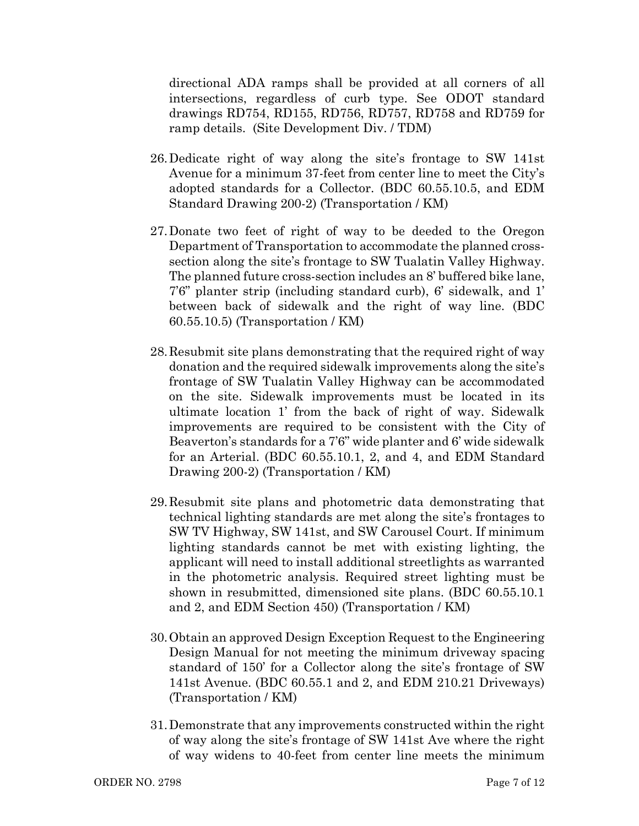directional ADA ramps shall be provided at all corners of all intersections, regardless of curb type. See ODOT standard drawings RD754, RD155, RD756, RD757, RD758 and RD759 for ramp details. (Site Development Div. / TDM)

- 26.Dedicate right of way along the site's frontage to SW 141st Avenue for a minimum 37-feet from center line to meet the City's adopted standards for a Collector. (BDC 60.55.10.5, and EDM Standard Drawing 200-2) (Transportation / KM)
- 27.Donate two feet of right of way to be deeded to the Oregon Department of Transportation to accommodate the planned crosssection along the site's frontage to SW Tualatin Valley Highway. The planned future cross-section includes an 8' buffered bike lane, 7'6" planter strip (including standard curb), 6' sidewalk, and 1' between back of sidewalk and the right of way line. (BDC 60.55.10.5) (Transportation / KM)
- 28.Resubmit site plans demonstrating that the required right of way donation and the required sidewalk improvements along the site's frontage of SW Tualatin Valley Highway can be accommodated on the site. Sidewalk improvements must be located in its ultimate location 1' from the back of right of way. Sidewalk improvements are required to be consistent with the City of Beaverton's standards for a 7'6" wide planter and 6' wide sidewalk for an Arterial. (BDC 60.55.10.1, 2, and 4, and EDM Standard Drawing 200-2) (Transportation / KM)
- 29.Resubmit site plans and photometric data demonstrating that technical lighting standards are met along the site's frontages to SW TV Highway, SW 141st, and SW Carousel Court. If minimum lighting standards cannot be met with existing lighting, the applicant will need to install additional streetlights as warranted in the photometric analysis. Required street lighting must be shown in resubmitted, dimensioned site plans. (BDC 60.55.10.1 and 2, and EDM Section 450) (Transportation / KM)
- 30.Obtain an approved Design Exception Request to the Engineering Design Manual for not meeting the minimum driveway spacing standard of 150' for a Collector along the site's frontage of SW 141st Avenue. (BDC 60.55.1 and 2, and EDM 210.21 Driveways) (Transportation / KM)
- 31.Demonstrate that any improvements constructed within the right of way along the site's frontage of SW 141st Ave where the right of way widens to 40-feet from center line meets the minimum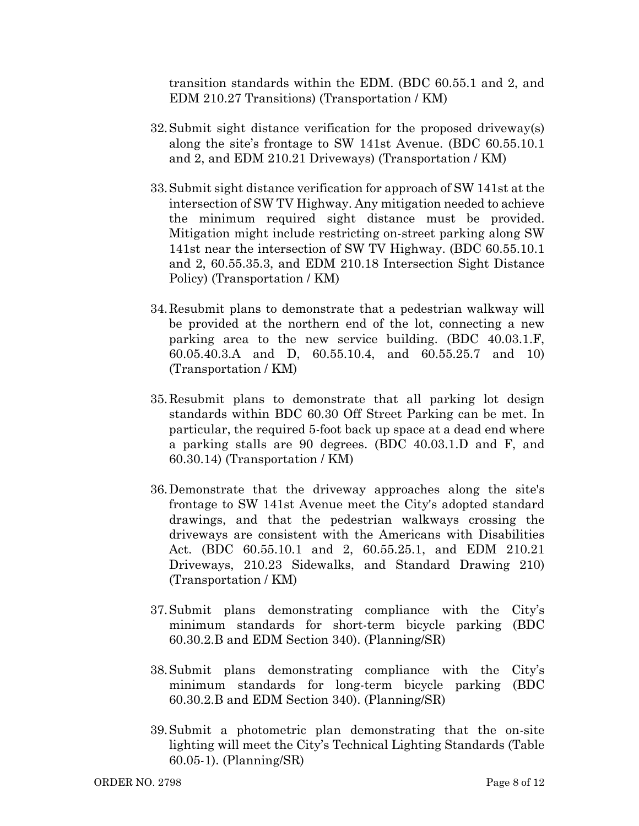transition standards within the EDM. (BDC 60.55.1 and 2, and EDM 210.27 Transitions) (Transportation / KM)

- 32.Submit sight distance verification for the proposed driveway(s) along the site's frontage to SW 141st Avenue. (BDC 60.55.10.1 and 2, and EDM 210.21 Driveways) (Transportation / KM)
- 33.Submit sight distance verification for approach of SW 141st at the intersection of SW TV Highway. Any mitigation needed to achieve the minimum required sight distance must be provided. Mitigation might include restricting on-street parking along SW 141st near the intersection of SW TV Highway. (BDC 60.55.10.1 and 2, 60.55.35.3, and EDM 210.18 Intersection Sight Distance Policy) (Transportation / KM)
- 34.Resubmit plans to demonstrate that a pedestrian walkway will be provided at the northern end of the lot, connecting a new parking area to the new service building. (BDC 40.03.1.F, 60.05.40.3.A and D, 60.55.10.4, and 60.55.25.7 and 10) (Transportation / KM)
- 35.Resubmit plans to demonstrate that all parking lot design standards within BDC 60.30 Off Street Parking can be met. In particular, the required 5-foot back up space at a dead end where a parking stalls are 90 degrees. (BDC 40.03.1.D and F, and 60.30.14) (Transportation / KM)
- 36.Demonstrate that the driveway approaches along the site's frontage to SW 141st Avenue meet the City's adopted standard drawings, and that the pedestrian walkways crossing the driveways are consistent with the Americans with Disabilities Act. (BDC 60.55.10.1 and 2, 60.55.25.1, and EDM 210.21 Driveways, 210.23 Sidewalks, and Standard Drawing 210) (Transportation / KM)
- 37.Submit plans demonstrating compliance with the City's minimum standards for short-term bicycle parking (BDC 60.30.2.B and EDM Section 340). (Planning/SR)
- 38.Submit plans demonstrating compliance with the City's minimum standards for long-term bicycle parking (BDC 60.30.2.B and EDM Section 340). (Planning/SR)
- 39.Submit a photometric plan demonstrating that the on-site lighting will meet the City's Technical Lighting Standards (Table 60.05-1). (Planning/SR)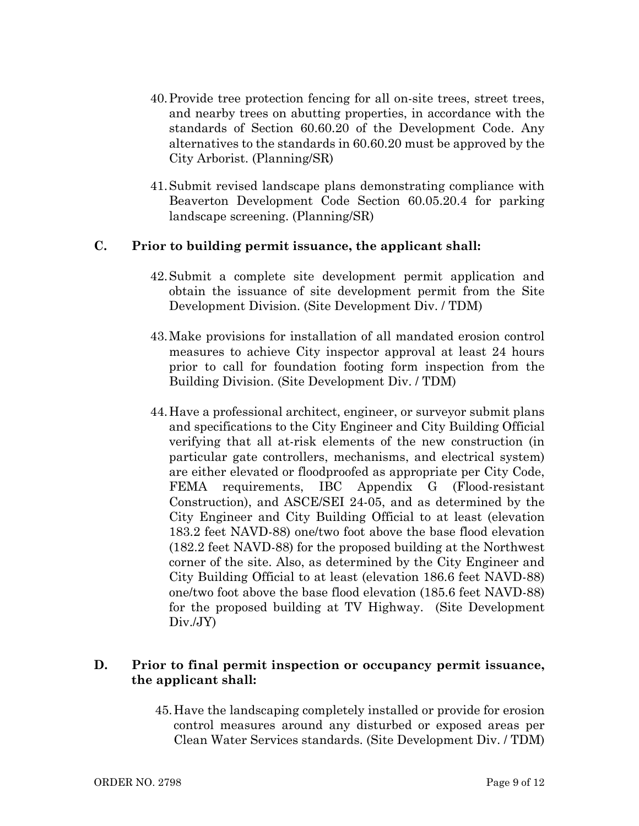- 40.Provide tree protection fencing for all on-site trees, street trees, and nearby trees on abutting properties, in accordance with the standards of Section 60.60.20 of the Development Code. Any alternatives to the standards in 60.60.20 must be approved by the City Arborist. (Planning/SR)
- 41.Submit revised landscape plans demonstrating compliance with Beaverton Development Code Section 60.05.20.4 for parking landscape screening. (Planning/SR)

## **C. Prior to building permit issuance, the applicant shall:**

- 42.Submit a complete site development permit application and obtain the issuance of site development permit from the Site Development Division. (Site Development Div. / TDM)
- 43.Make provisions for installation of all mandated erosion control measures to achieve City inspector approval at least 24 hours prior to call for foundation footing form inspection from the Building Division. (Site Development Div. / TDM)
- 44.Have a professional architect, engineer, or surveyor submit plans and specifications to the City Engineer and City Building Official verifying that all at-risk elements of the new construction (in particular gate controllers, mechanisms, and electrical system) are either elevated or floodproofed as appropriate per City Code, FEMA requirements, IBC Appendix G (Flood-resistant Construction), and ASCE/SEI 24-05, and as determined by the City Engineer and City Building Official to at least (elevation 183.2 feet NAVD-88) one/two foot above the base flood elevation (182.2 feet NAVD-88) for the proposed building at the Northwest corner of the site. Also, as determined by the City Engineer and City Building Official to at least (elevation 186.6 feet NAVD-88) one/two foot above the base flood elevation (185.6 feet NAVD-88) for the proposed building at TV Highway. (Site Development Div./JY)

## **D. Prior to final permit inspection or occupancy permit issuance, the applicant shall:**

45.Have the landscaping completely installed or provide for erosion control measures around any disturbed or exposed areas per Clean Water Services standards. (Site Development Div. / TDM)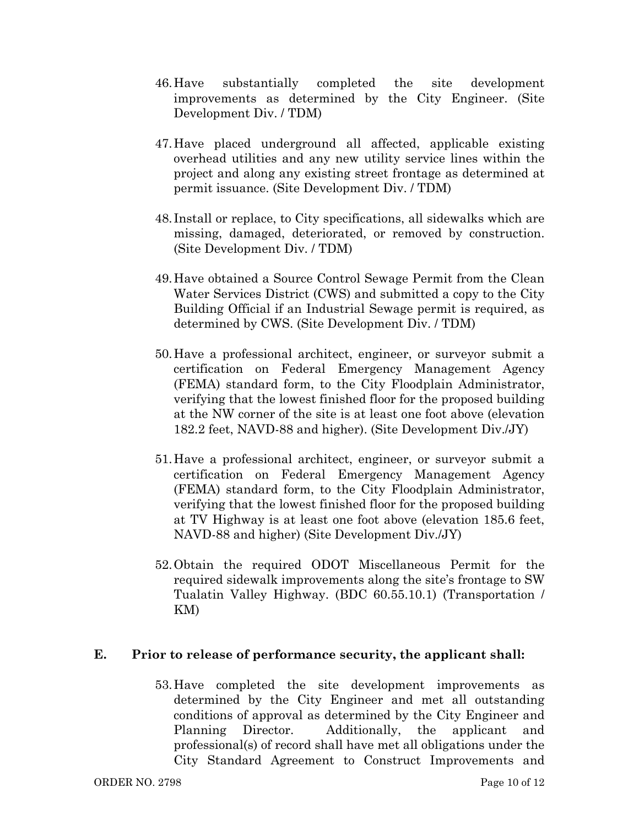- 46.Have substantially completed the site development improvements as determined by the City Engineer. (Site Development Div. / TDM)
- 47.Have placed underground all affected, applicable existing overhead utilities and any new utility service lines within the project and along any existing street frontage as determined at permit issuance. (Site Development Div. / TDM)
- 48. Install or replace, to City specifications, all sidewalks which are missing, damaged, deteriorated, or removed by construction. (Site Development Div. / TDM)
- 49.Have obtained a Source Control Sewage Permit from the Clean Water Services District (CWS) and submitted a copy to the City Building Official if an Industrial Sewage permit is required, as determined by CWS. (Site Development Div. / TDM)
- 50.Have a professional architect, engineer, or surveyor submit a certification on Federal Emergency Management Agency (FEMA) standard form, to the City Floodplain Administrator, verifying that the lowest finished floor for the proposed building at the NW corner of the site is at least one foot above (elevation 182.2 feet, NAVD-88 and higher). (Site Development Div./JY)
- 51.Have a professional architect, engineer, or surveyor submit a certification on Federal Emergency Management Agency (FEMA) standard form, to the City Floodplain Administrator, verifying that the lowest finished floor for the proposed building at TV Highway is at least one foot above (elevation 185.6 feet, NAVD-88 and higher) (Site Development Div./JY)
- 52.Obtain the required ODOT Miscellaneous Permit for the required sidewalk improvements along the site's frontage to SW Tualatin Valley Highway. (BDC 60.55.10.1) (Transportation / KM)

#### **E. Prior to release of performance security, the applicant shall:**

53.Have completed the site development improvements as determined by the City Engineer and met all outstanding conditions of approval as determined by the City Engineer and Planning Director. Additionally, the applicant and professional(s) of record shall have met all obligations under the City Standard Agreement to Construct Improvements and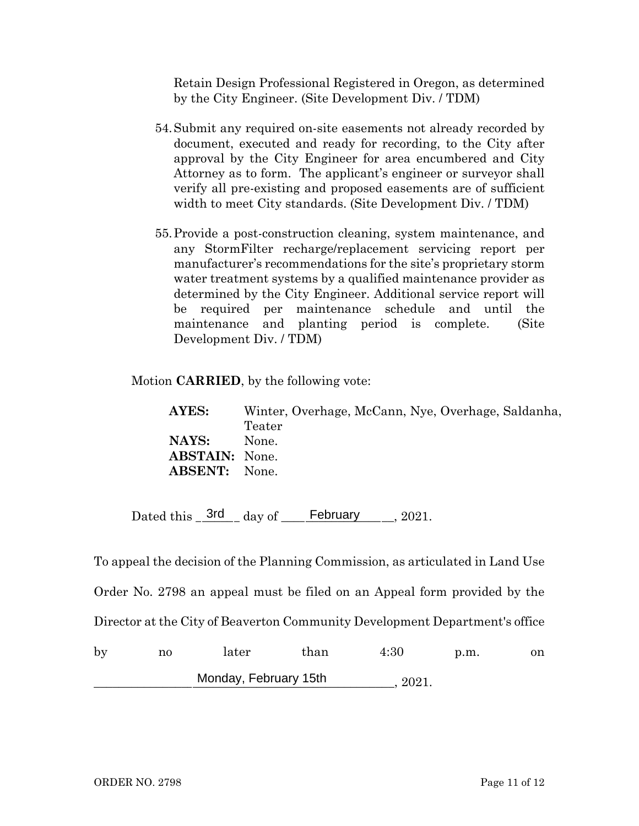Retain Design Professional Registered in Oregon, as determined by the City Engineer. (Site Development Div. / TDM)

- 54.Submit any required on-site easements not already recorded by document, executed and ready for recording, to the City after approval by the City Engineer for area encumbered and City Attorney as to form. The applicant's engineer or surveyor shall verify all pre-existing and proposed easements are of sufficient width to meet City standards. (Site Development Div. / TDM)
- 55.Provide a post-construction cleaning, system maintenance, and any StormFilter recharge/replacement servicing report per manufacturer's recommendations for the site's proprietary storm water treatment systems by a qualified maintenance provider as determined by the City Engineer. Additional service report will be required per maintenance schedule and until the maintenance and planting period is complete. (Site Development Div. / TDM)

Motion **CARRIED**, by the following vote:

**AYES:** Winter, Overhage, McCann, Nye, Overhage, Saldanha, Teater **NAYS:** None. **ABSTAIN:** None. **ABSENT:** None.

Dated this  $\frac{3rd}{1}$  day of  $\frac{February}{1}$ , 2021.

To appeal the decision of the Planning Commission, as articulated in Land Use Order No. 2798 an appeal must be filed on an Appeal form provided by the Director at the City of Beaverton Community Development Department's office

| by | n0                    | later | than | 4:30  | p.m. | on |
|----|-----------------------|-------|------|-------|------|----|
|    | Monday, February 15th |       |      | 2021. |      |    |